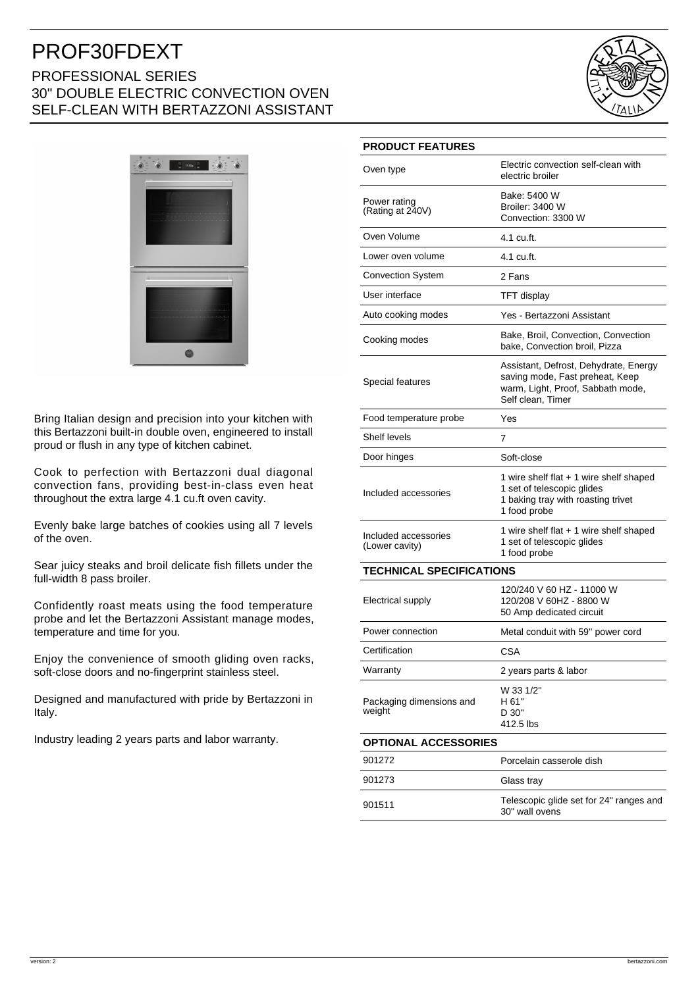# PROF30FDEXT PROFESSIONAL SERIES 30" DOUBLE ELECTRIC CONVECTION OVEN SELF-CLEAN WITH BERTAZZONI ASSISTANT





Bring Italian design and precision into your kitchen with this Bertazzoni built-in double oven, engineered to install proud or flush in any type of kitchen cabinet.

Cook to perfection with Bertazzoni dual diagonal convection fans, providing best-in-class even heat throughout the extra large 4.1 cu.ft oven cavity.

Evenly bake large batches of cookies using all 7 levels of the oven.

Sear juicy steaks and broil delicate fish fillets under the full-width 8 pass broiler.

Confidently roast meats using the food temperature probe and let the Bertazzoni Assistant manage modes, temperature and time for you.

Enjoy the convenience of smooth gliding oven racks, soft-close doors and no-fingerprint stainless steel.

Designed and manufactured with pride by Bertazzoni in Italy.

Industry leading 2 years parts and labor warranty.

#### **PRODUCT FEATURES**

| Oven type                              | Electric convection self-clean with<br>electric broiler                                                                            |
|----------------------------------------|------------------------------------------------------------------------------------------------------------------------------------|
| Power rating<br>(Rating at 240V)       | Bake: 5400 W<br>Broiler: 3400 W<br>Convection: 3300 W                                                                              |
| Oven Volume                            | 4.1 cu.ft.                                                                                                                         |
| Lower oven volume                      | 4.1 cu.ft.                                                                                                                         |
| <b>Convection System</b>               | 2 Fans                                                                                                                             |
| User interface                         | <b>TFT</b> display                                                                                                                 |
| Auto cooking modes                     | Yes - Bertazzoni Assistant                                                                                                         |
| Cooking modes                          | Bake, Broil, Convection, Convection<br>bake, Convection broil, Pizza                                                               |
| Special features                       | Assistant, Defrost, Dehydrate, Energy<br>saving mode, Fast preheat, Keep<br>warm, Light, Proof, Sabbath mode,<br>Self clean, Timer |
| Food temperature probe                 | Yes                                                                                                                                |
| Shelf levels                           | 7                                                                                                                                  |
| Door hinges                            | Soft-close                                                                                                                         |
| Included accessories                   | 1 wire shelf flat $+$ 1 wire shelf shaped<br>1 set of telescopic glides<br>1 baking tray with roasting trivet<br>1 food probe      |
| Included accessories<br>(Lower cavity) | 1 wire shelf flat + 1 wire shelf shaped<br>1 set of telescopic glides<br>1 food probe                                              |
| <b>TECHNICAL SPECIFICATIONS</b>        |                                                                                                                                    |
| Electrical supply                      | 120/240 V 60 HZ - 11000 W<br>120/208 V 60HZ - 8800 W<br>50 Amp dedicated circuit                                                   |
| Power connection                       | Metal conduit with 59" power cord                                                                                                  |
| Certification                          | <b>CSA</b>                                                                                                                         |
| Warranty                               | 2 years parts & labor                                                                                                              |
| Packaging dimensions and<br>weight     | W 33 1/2"<br>H 61"<br>D 30"<br>412.5 lbs                                                                                           |
| <b>OPTIONAL ACCESSORIES</b>            |                                                                                                                                    |
| 901272                                 | Porcelain casserole dish                                                                                                           |
| 901273                                 | Glass tray                                                                                                                         |
| 901511                                 | Telescopic glide set for 24" ranges and<br>30" wall ovens                                                                          |